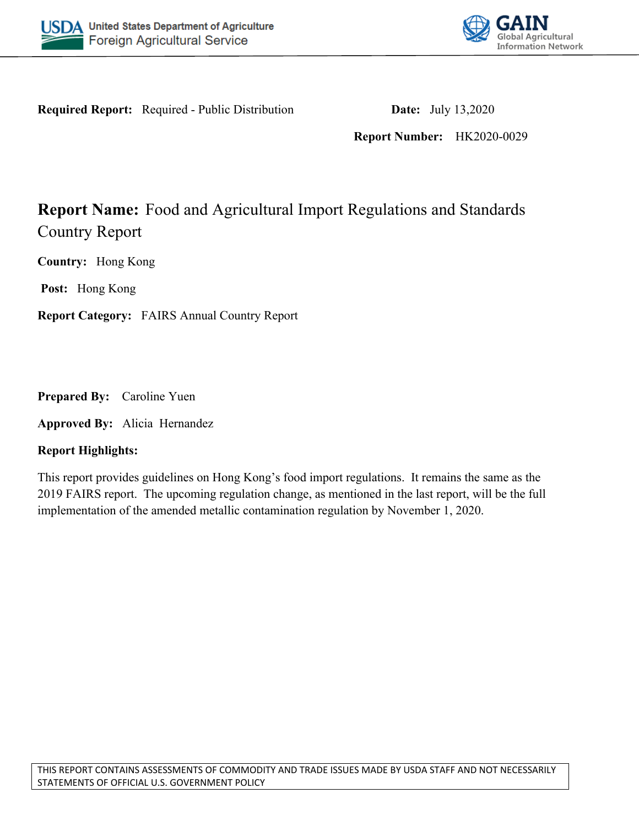



**Required Report:** Required - Public Distribution **Date:** July 13,2020

**Report Number:** HK2020-0029

# **Report Name:** Food and Agricultural Import Regulations and Standards Country Report

**Country:** Hong Kong

**Post:** Hong Kong

**Report Category:** FAIRS Annual Country Report

**Prepared By:** Caroline Yuen

**Approved By:** Alicia Hernandez

### **Report Highlights:**

This report provides guidelines on Hong Kong's food import regulations. It remains the same as the 2019 FAIRS report. The upcoming regulation change, as mentioned in the last report, will be the full implementation of the amended metallic contamination regulation by November 1, 2020.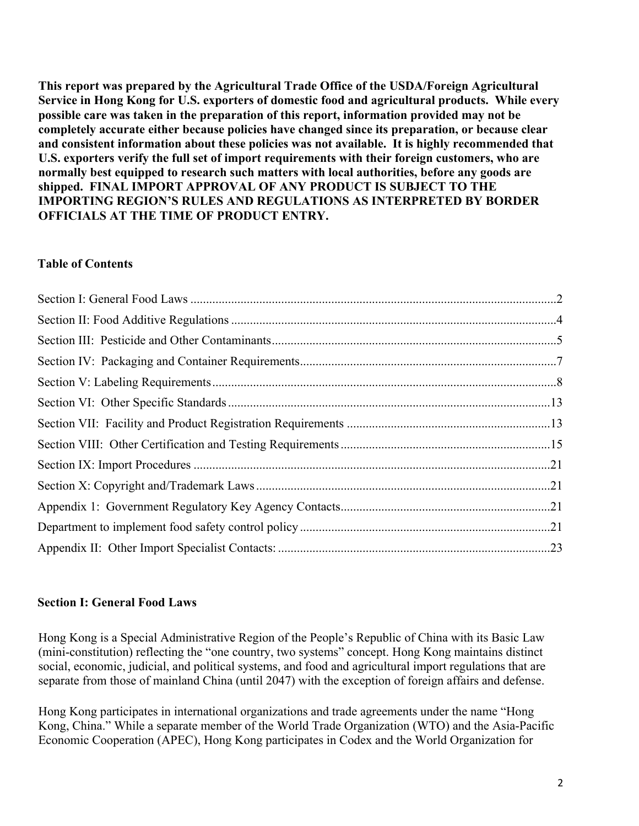**This report was prepared by the Agricultural Trade Office of the USDA/Foreign Agricultural Service in Hong Kong for U.S. exporters of domestic food and agricultural products. While every possible care was taken in the preparation of this report, information provided may not be completely accurate either because policies have changed since its preparation, or because clear and consistent information about these policies was not available. It is highly recommended that U.S. exporters verify the full set of import requirements with their foreign customers, who are normally best equipped to research such matters with local authorities, before any goods are shipped. FINAL IMPORT APPROVAL OF ANY PRODUCT IS SUBJECT TO THE IMPORTING REGION'S RULES AND REGULATIONS AS INTERPRETED BY BORDER OFFICIALS AT THE TIME OF PRODUCT ENTRY.**

#### **Table of Contents**

### <span id="page-1-0"></span>**Section I: General Food Laws**

Hong Kong is a Special Administrative Region of the People's Republic of China with its Basic Law (mini-constitution) reflecting the "one country, two systems" concept. Hong Kong maintains distinct social, economic, judicial, and political systems, and food and agricultural import regulations that are separate from those of mainland China (until 2047) with the exception of foreign affairs and defense.

Hong Kong participates in international organizations and trade agreements under the name "Hong Kong, China." While a separate member of the World Trade Organization (WTO) and the Asia-Pacific Economic Cooperation (APEC), Hong Kong participates in Codex and the World Organization for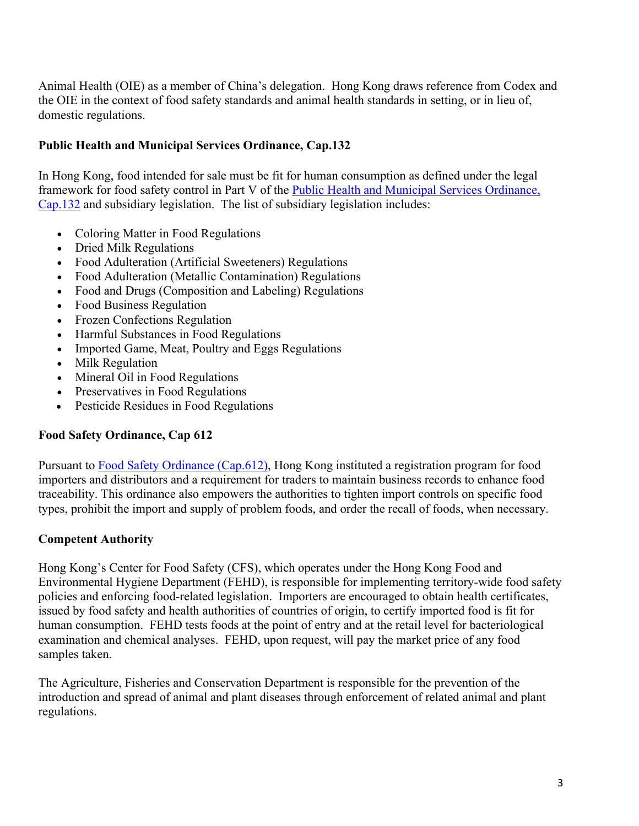Animal Health (OIE) as a member of China's delegation. Hong Kong draws reference from Codex and the OIE in the context of food safety standards and animal health standards in setting, or in lieu of, domestic regulations.

# **Public Health and Municipal Services Ordinance, Cap.132**

In Hong Kong, food intended for sale must be fit for human consumption as defined under the legal framework for food safety control in Part V of the [Public Health and Municipal Services Ordinance,](https://www.elegislation.gov.hk/hk/cap132)  [Cap.132](https://www.elegislation.gov.hk/hk/cap132) and subsidiary legislation. The list of subsidiary legislation includes:

- Coloring Matter in Food Regulations
- Dried Milk Regulations
- Food Adulteration (Artificial Sweeteners) Regulations
- Food Adulteration (Metallic Contamination) Regulations
- Food and Drugs (Composition and Labeling) Regulations
- Food Business Regulation
- Frozen Confections Regulation
- Harmful Substances in Food Regulations
- Imported Game, Meat, Poultry and Eggs Regulations
- Milk Regulation
- Mineral Oil in Food Regulations
- Preservatives in Food Regulations
- Pesticide Residues in Food Regulations

# **Food Safety Ordinance, Cap 612**

Pursuant to [Food Safety Ordinance \(Cap.612\),](https://www.elegislation.gov.hk/hk/cap612) Hong Kong instituted a registration program for food importers and distributors and a requirement for traders to maintain business records to enhance food traceability. This ordinance also empowers the authorities to tighten import controls on specific food types, prohibit the import and supply of problem foods, and order the recall of foods, when necessary.

### **Competent Authority**

Hong Kong's Center for Food Safety (CFS), which operates under the Hong Kong Food and Environmental Hygiene Department (FEHD), is responsible for implementing territory-wide food safety policies and enforcing food-related legislation. Importers are encouraged to obtain health certificates, issued by food safety and health authorities of countries of origin, to certify imported food is fit for human consumption. FEHD tests foods at the point of entry and at the retail level for bacteriological examination and chemical analyses. FEHD, upon request, will pay the market price of any food samples taken.

The Agriculture, Fisheries and Conservation Department is responsible for the prevention of the introduction and spread of animal and plant diseases through enforcement of related animal and plant regulations.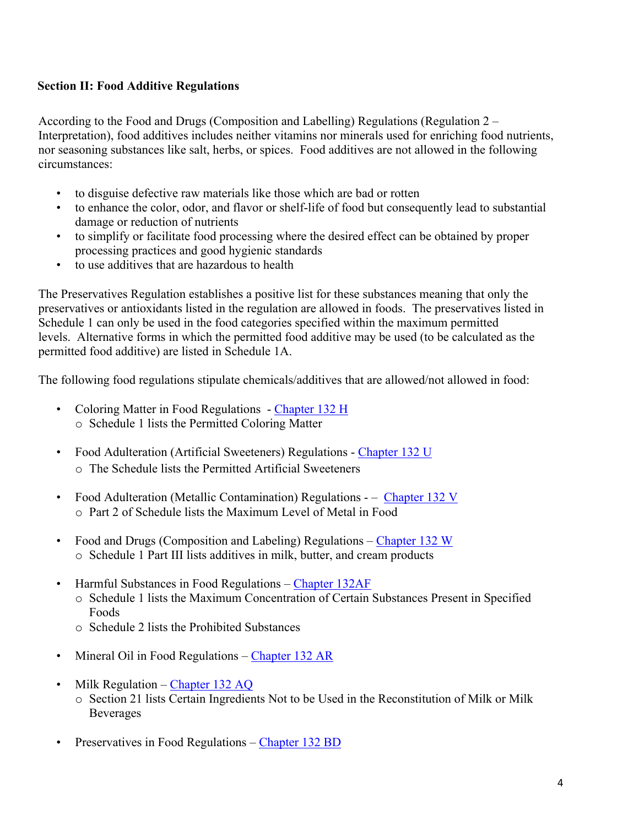# <span id="page-3-0"></span>**Section II: Food Additive Regulations**

According to the Food and Drugs (Composition and Labelling) Regulations (Regulation 2 – Interpretation), food additives includes neither vitamins nor minerals used for enriching food nutrients, nor seasoning substances like salt, herbs, or spices. Food additives are not allowed in the following circumstances:

- to disguise defective raw materials like those which are bad or rotten
- to enhance the color, odor, and flavor or shelf-life of food but consequently lead to substantial damage or reduction of nutrients
- to simplify or facilitate food processing where the desired effect can be obtained by proper processing practices and good hygienic standards
- to use additives that are hazardous to health

The Preservatives Regulation establishes a positive list for these substances meaning that only the preservatives or antioxidants listed in the regulation are allowed in foods. The preservatives listed in Schedule 1 can only be used in the food categories specified within the maximum permitted levels. Alternative forms in which the permitted food additive may be used (to be calculated as the permitted food additive) are listed in Schedule 1A.

The following food regulations stipulate chemicals/additives that are allowed/not allowed in food:

- Coloring Matter in Food Regulations [Chapter 132 H](https://www.elegislation.gov.hk/hk/cap132H) o Schedule 1 lists the Permitted Coloring Matter
- Food Adulteration (Artificial Sweeteners) Regulations - [Chapter 132 U](https://www.elegislation.gov.hk/hk/cap132U) o The Schedule lists the Permitted Artificial Sweeteners
- Food Adulteration (Metallic Contamination) Regulations – [Chapter 132 V](https://www.elegislation.gov.hk/hk/cap132V) o Part 2 of Schedule lists the Maximum Level of Metal in Food
- Food and Drugs (Composition and Labeling) Regulations [Chapter 132 W](https://www.elegislation.gov.hk/hk/cap132W) o Schedule 1 Part III lists additives in milk, butter, and cream products
- Harmful Substances in Food Regulations – [Chapter 132AF](https://www.elegislation.gov.hk/hk/cap132AF) o Schedule 1 lists the Maximum Concentration of Certain Substances Present in Specified Foods
	- o Schedule 2 lists the Prohibited Substances
- Mineral Oil in Food Regulations [Chapter 132 AR](https://www.elegislation.gov.hk/hk/cap132AR)
- Milk Regulation [Chapter 132 AQ](https://www.elegislation.gov.hk/hk/cap132AQ)
	- o Section 21 lists Certain Ingredients Not to be Used in the Reconstitution of Milk or Milk **Beverages**
- Preservatives in Food Regulations – [Chapter 132 BD](https://www.elegislation.gov.hk/hk/cap132BD)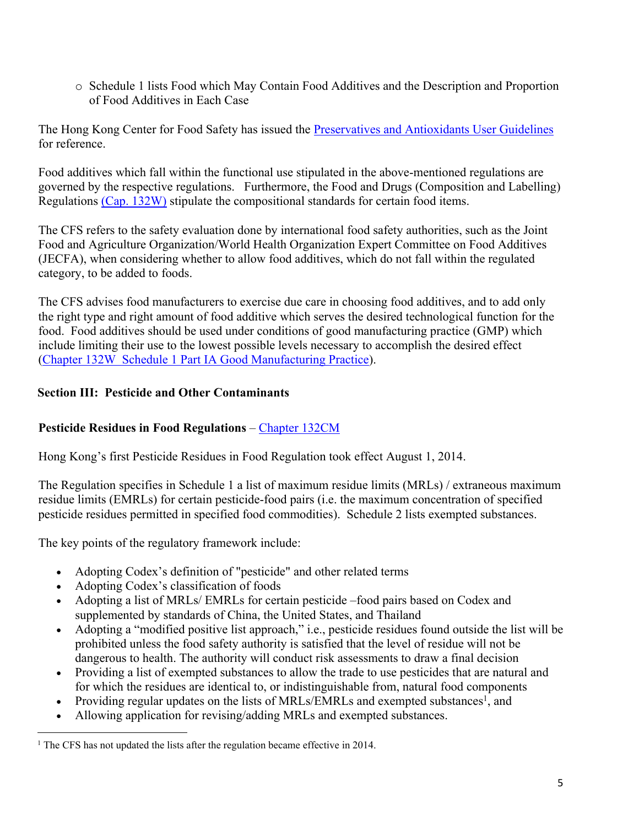o Schedule 1 lists Food which May Contain Food Additives and the Description and Proportion of Food Additives in Each Case

The Hong Kong Center for Food Safety has issued the [Preservatives and Antioxidants User Guidelines](http://www.cfs.gov.hk/english/whatsnew/whatsnew_fstr/files/User_Guideline_e.pdf) for reference.

Food additives which fall within the functional use stipulated in the above-mentioned regulations are governed by the respective regulations. Furthermore, the Food and Drugs (Composition and Labelling) Regulations [\(Cap. 132W\)](https://www.elegislation.gov.hk/hk/cap132W) stipulate the compositional standards for certain food items.

The CFS refers to the safety evaluation done by international food safety authorities, such as the Joint Food and Agriculture Organization/World Health Organization Expert Committee on Food Additives (JECFA), when considering whether to allow food additives, which do not fall within the regulated category, to be added to foods.

The CFS advises food manufacturers to exercise due care in choosing food additives, and to add only the right type and right amount of food additive which serves the desired technological function for the food. Food additives should be used under conditions of good manufacturing practice (GMP) which include limiting their use to the lowest possible levels necessary to accomplish the desired effect ([Chapter 132W Schedule 1 Part IA Good Manufacturing Practice\)](https://www.elegislation.gov.hk/hk/cap132W?xpid=ID_1438402696847_001).

# <span id="page-4-0"></span>**Section III: Pesticide and Other Contaminants**

# **Pesticide Residues in Food Regulations** – [Chapter 132CM](https://www.elegislation.gov.hk/hk/cap132CM)

Hong Kong's first Pesticide Residues in Food Regulation took effect August 1, 2014.

The Regulation specifies in Schedule 1 a list of maximum residue limits (MRLs) / extraneous maximum residue limits (EMRLs) for certain pesticide-food pairs (i.e. the maximum concentration of specified pesticide residues permitted in specified food commodities). Schedule 2 lists exempted substances.

The key points of the regulatory framework include:

- Adopting Codex's definition of "pesticide" and other related terms
- Adopting Codex's classification of foods
- Adopting a list of MRLs/ EMRLs for certain pesticide –food pairs based on Codex and supplemented by standards of China, the United States, and Thailand
- Adopting a "modified positive list approach," i.e., pesticide residues found outside the list will be prohibited unless the food safety authority is satisfied that the level of residue will not be dangerous to health. The authority will conduct risk assessments to draw a final decision
- Providing a list of exempted substances to allow the trade to use pesticides that are natural and for which the residues are identical to, or indistinguishable from, natural food components
- Providing regular updates on the lists of MRLs/EMRLs and exempted substances<sup>1</sup>, and
- Allowing application for revising/adding MRLs and exempted substances.

<sup>&</sup>lt;sup>1</sup> The CFS has not updated the lists after the regulation became effective in 2014.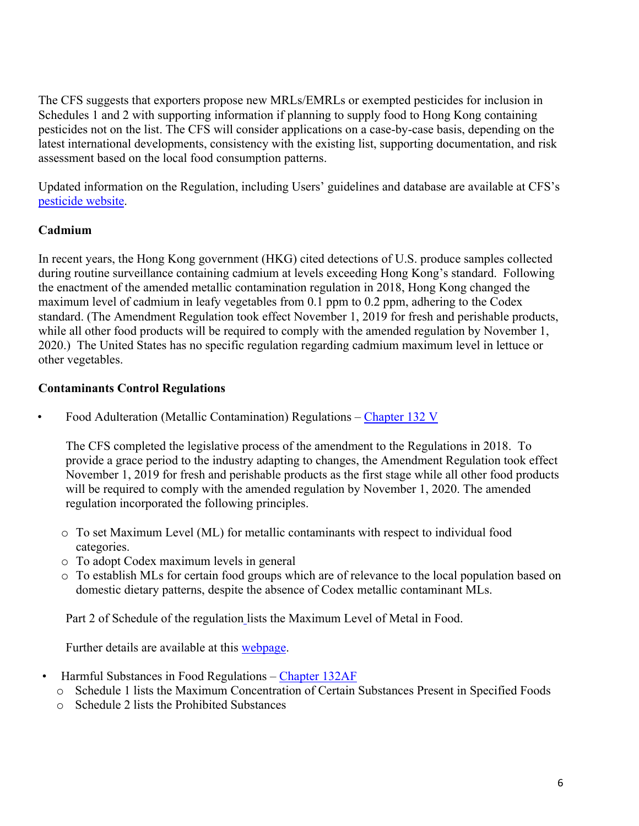The CFS suggests that exporters propose new MRLs/EMRLs or exempted pesticides for inclusion in Schedules 1 and 2 with supporting information if planning to supply food to Hong Kong containing pesticides not on the list. The CFS will consider applications on a case-by-case basis, depending on the latest international developments, consistency with the existing list, supporting documentation, and risk assessment based on the local food consumption patterns.

Updated information on the Regulation, including Users' guidelines and database are available at CFS's [pesticide website](http://www.cfs.gov.hk/english/whatsnew/whatsnew_fstr/whatsnew_fstr_21_Pesticide.html).

### **Cadmium**

In recent years, the Hong Kong government (HKG) cited detections of U.S. produce samples collected during routine surveillance containing cadmium at levels exceeding Hong Kong's standard. Following the enactment of the amended metallic contamination regulation in 2018, Hong Kong changed the maximum level of cadmium in leafy vegetables from 0.1 ppm to 0.2 ppm, adhering to the Codex standard. (The Amendment Regulation took effect November 1, 2019 for fresh and perishable products, while all other food products will be required to comply with the amended regulation by November 1, 2020.) The United States has no specific regulation regarding cadmium maximum level in lettuce or other vegetables.

### **Contaminants Control Regulations**

• Food Adulteration (Metallic Contamination) Regulations – [Chapter 132 V](https://www.elegislation.gov.hk/hk/cap132V)

The CFS completed the legislative process of the amendment to the Regulations in 2018. To provide a grace period to the industry adapting to changes, the Amendment Regulation took effect November 1, 2019 for fresh and perishable products as the first stage while all other food products will be required to comply with the amended regulation by November 1, 2020. The amended regulation incorporated the following principles.

- o To set Maximum Level (ML) for metallic contaminants with respect to individual food categories.
- o To adopt Codex maximum levels in general
- o To establish MLs for certain food groups which are of relevance to the local population based on domestic dietary patterns, despite the absence of Codex metallic contaminant MLs.

Part 2 of Schedule of the [regulation](https://www.gld.gov.hk/egazette/pdf/20182223/es220182223113.pdf) lists the Maximum Level of Metal in Food.

Further details are available at this [webpage](http://www.cfs.gov.hk/english/whatsnew/whatsnew_fstr/whatsnew_fstr_PA_Food_Adulteration_Metallic_Contamination.html).

- Harmful Substances in Food Regulations [Chapter 132AF](https://www.elegislation.gov.hk/hk/cap132AF)
	- o Schedule 1 lists the Maximum Concentration of Certain Substances Present in Specified Foods
	- o Schedule 2 lists the Prohibited Substances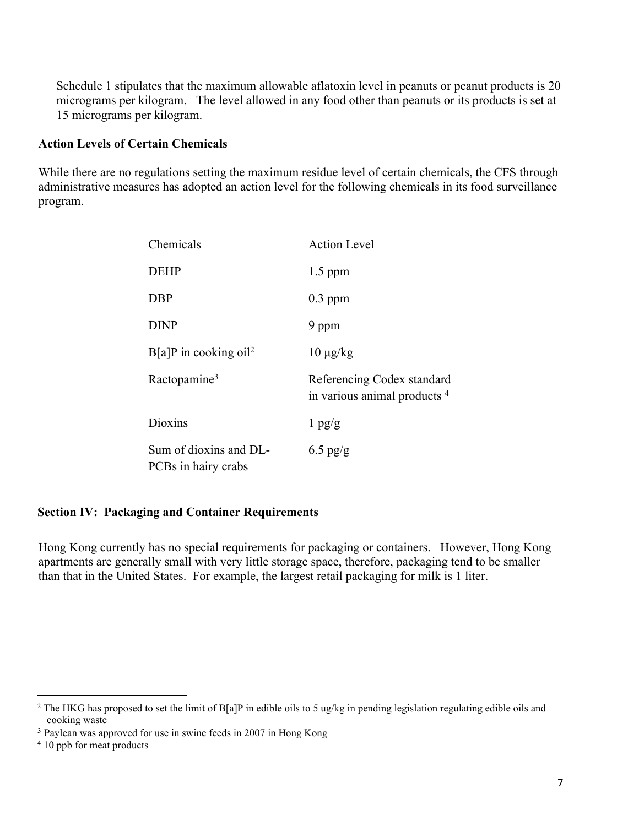Schedule 1 stipulates that the maximum allowable aflatoxin level in peanuts or peanut products is 20 micrograms per kilogram. The level allowed in any food other than peanuts or its products is set at 15 micrograms per kilogram.

#### **Action Levels of Certain Chemicals**

While there are no regulations setting the maximum residue level of certain chemicals, the CFS through administrative measures has adopted an action level for the following chemicals in its food surveillance program.

| Chemicals                                     | <b>Action Level</b>                                                   |
|-----------------------------------------------|-----------------------------------------------------------------------|
| <b>DEHP</b>                                   | $1.5$ ppm                                                             |
| <b>DBP</b>                                    | $0.3$ ppm                                                             |
| <b>DINP</b>                                   | 9 ppm                                                                 |
| $B[a]P$ in cooking oil <sup>2</sup>           | $10 \mu g/kg$                                                         |
| Ractopamine <sup>3</sup>                      | Referencing Codex standard<br>in various animal products <sup>4</sup> |
| Dioxins                                       | $1$ pg/g                                                              |
| Sum of dioxins and DL-<br>PCBs in hairy crabs | $6.5$ pg/g                                                            |

#### <span id="page-6-0"></span>**Section IV: Packaging and Container Requirements**

Hong Kong currently has no special requirements for packaging or containers. However, Hong Kong apartments are generally small with very little storage space, therefore, packaging tend to be smaller than that in the United States. For example, the largest retail packaging for milk is 1 liter.

<sup>&</sup>lt;sup>2</sup> The HKG has proposed to set the limit of B[a]P in edible oils to 5 ug/kg in pending legislation regulating edible oils and cooking waste

<sup>3</sup> Paylean was approved for use in swine feeds in 2007 in Hong Kong

<sup>&</sup>lt;sup>4</sup> 10 ppb for meat products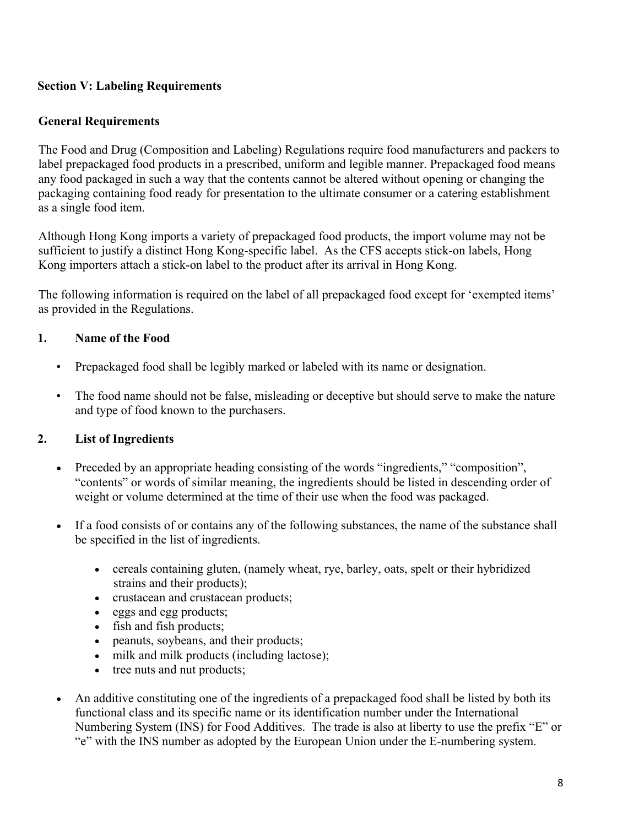# <span id="page-7-0"></span>**Section V: Labeling Requirements**

# **General Requirements**

The Food and Drug (Composition and Labeling) Regulations require food manufacturers and packers to label prepackaged food products in a prescribed, uniform and legible manner. Prepackaged food means any food packaged in such a way that the contents cannot be altered without opening or changing the packaging containing food ready for presentation to the ultimate consumer or a catering establishment as a single food item.

Although Hong Kong imports a variety of prepackaged food products, the import volume may not be sufficient to justify a distinct Hong Kong-specific label. As the CFS accepts stick-on labels, Hong Kong importers attach a stick-on label to the product after its arrival in Hong Kong.

The following information is required on the label of all prepackaged food except for 'exempted items' as provided in the Regulations.

### **1. Name of the Food**

- Prepackaged food shall be legibly marked or labeled with its name or designation.
- The food name should not be false, misleading or deceptive but should serve to make the nature and type of food known to the purchasers.

# **2. List of Ingredients**

- Preceded by an appropriate heading consisting of the words "ingredients," "composition", "contents" or words of similar meaning, the ingredients should be listed in descending order of weight or volume determined at the time of their use when the food was packaged.
- If a food consists of or contains any of the following substances, the name of the substance shall be specified in the list of ingredients.
	- cereals containing gluten, (namely wheat, rye, barley, oats, spelt or their hybridized strains and their products);
	- crustacean and crustacean products;
	- eggs and egg products;
	- fish and fish products;
	- peanuts, soybeans, and their products;
	- milk and milk products (including lactose);
	- tree nuts and nut products;
- An additive constituting one of the ingredients of a prepackaged food shall be listed by both its functional class and its specific name or its identification number under the International Numbering System (INS) for Food Additives. The trade is also at liberty to use the prefix "E" or "e" with the INS number as adopted by the European Union under the E-numbering system.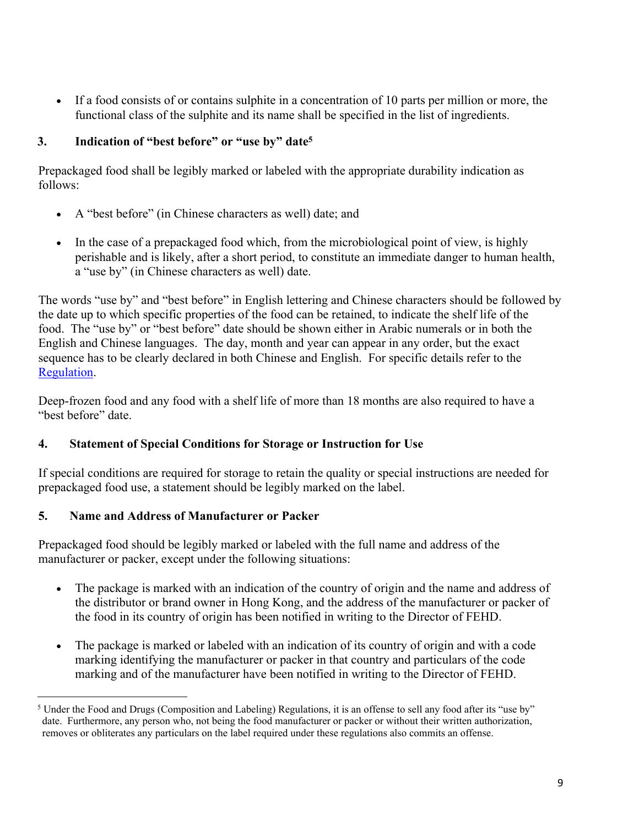If a food consists of or contains sulphite in a concentration of 10 parts per million or more, the functional class of the sulphite and its name shall be specified in the list of ingredients.

# **3. Indication of "best before" or "use by" date<sup>5</sup>**

Prepackaged food shall be legibly marked or labeled with the appropriate durability indication as follows:

- A "best before" (in Chinese characters as well) date; and
- In the case of a prepackaged food which, from the microbiological point of view, is highly perishable and is likely, after a short period, to constitute an immediate danger to human health, a "use by" (in Chinese characters as well) date.

The words "use by" and "best before" in English lettering and Chinese characters should be followed by the date up to which specific properties of the food can be retained, to indicate the shelf life of the food. The "use by" or "best before" date should be shown either in Arabic numerals or in both the English and Chinese languages. The day, month and year can appear in any order, but the exact sequence has to be clearly declared in both Chinese and English. For specific details refer to the [Regulation](https://www.elegislation.gov.hk/hk/cap132W?xpid=ID_1438402697252_001).

Deep-frozen food and any food with a shelf life of more than 18 months are also required to have a "best before" date.

# **4. Statement of Special Conditions for Storage or Instruction for Use**

If special conditions are required for storage to retain the quality or special instructions are needed for prepackaged food use, a statement should be legibly marked on the label.

# **5. Name and Address of Manufacturer or Packer**

Prepackaged food should be legibly marked or labeled with the full name and address of the manufacturer or packer, except under the following situations:

- The package is marked with an indication of the country of origin and the name and address of the distributor or brand owner in Hong Kong, and the address of the manufacturer or packer of the food in its country of origin has been notified in writing to the Director of FEHD.
- The package is marked or labeled with an indication of its country of origin and with a code marking identifying the manufacturer or packer in that country and particulars of the code marking and of the manufacturer have been notified in writing to the Director of FEHD.

<sup>&</sup>lt;sup>5</sup> Under the Food and Drugs (Composition and Labeling) Regulations, it is an offense to sell any food after its "use by" date. Furthermore, any person who, not being the food manufacturer or packer or without their written authorization, removes or obliterates any particulars on the label required under these regulations also commits an offense.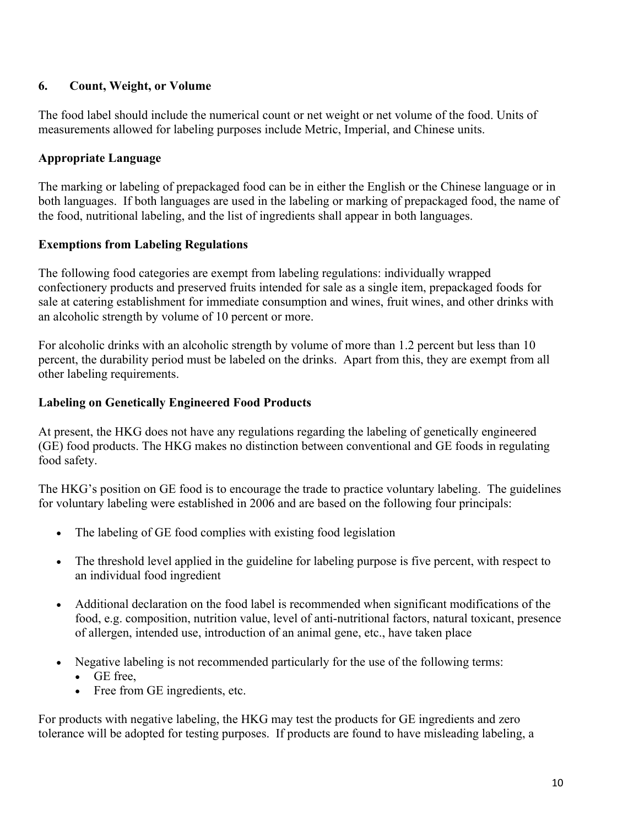# **6. Count, Weight, or Volume**

The food label should include the numerical count or net weight or net volume of the food. Units of measurements allowed for labeling purposes include Metric, Imperial, and Chinese units.

# **Appropriate Language**

The marking or labeling of prepackaged food can be in either the English or the Chinese language or in both languages. If both languages are used in the labeling or marking of prepackaged food, the name of the food, nutritional labeling, and the list of ingredients shall appear in both languages.

### **Exemptions from Labeling Regulations**

The following food categories are exempt from labeling regulations: individually wrapped confectionery products and preserved fruits intended for sale as a single item, prepackaged foods for sale at catering establishment for immediate consumption and wines, fruit wines, and other drinks with an alcoholic strength by volume of 10 percent or more.

For alcoholic drinks with an alcoholic strength by volume of more than 1.2 percent but less than 10 percent, the durability period must be labeled on the drinks. Apart from this, they are exempt from all other labeling requirements.

# **Labeling on Genetically Engineered Food Products**

At present, the HKG does not have any regulations regarding the labeling of genetically engineered (GE) food products. The HKG makes no distinction between conventional and GE foods in regulating food safety.

The HKG's position on GE food is to encourage the trade to practice voluntary labeling. The guidelines for voluntary labeling were established in 2006 and are based on the following four principals:

- The labeling of GE food complies with existing food legislation
- The threshold level applied in the guideline for labeling purpose is five percent, with respect to an individual food ingredient
- Additional declaration on the food label is recommended when significant modifications of the food, e.g. composition, nutrition value, level of anti-nutritional factors, natural toxicant, presence of allergen, intended use, introduction of an animal gene, etc., have taken place
- Negative labeling is not recommended particularly for the use of the following terms:
	- GE free,
	- Free from GE ingredients, etc.

For products with negative labeling, the HKG may test the products for GE ingredients and zero tolerance will be adopted for testing purposes. If products are found to have misleading labeling, a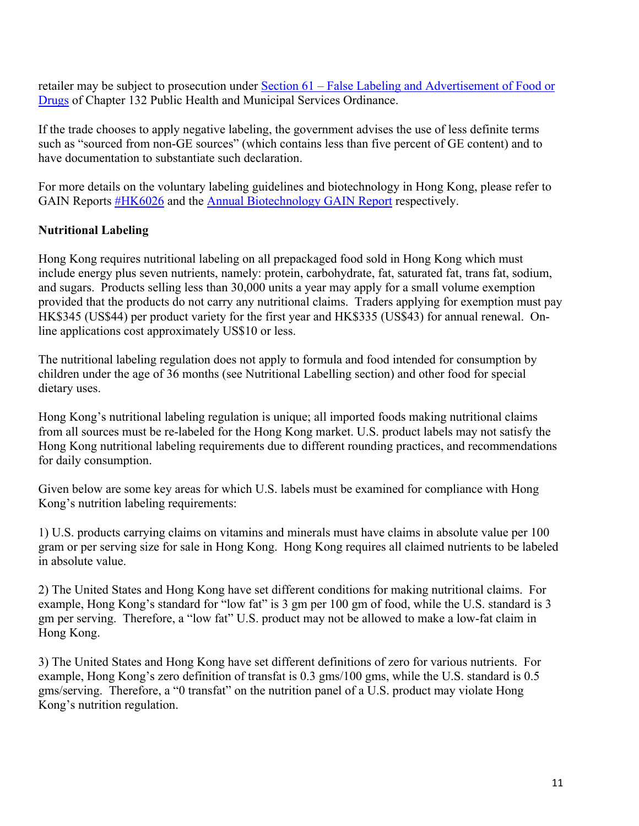retailer may be subject to prosecution under [Section 61 – False Labeling and Advertisement of Food or](https://www.elegislation.gov.hk/hk/cap132?xpid=ID_1438402661216_001)  **[Drugs](https://www.elegislation.gov.hk/hk/cap132?xpid=ID_1438402661216_001)** of Chapter 132 Public Health and Municipal Services Ordinance.

If the trade chooses to apply negative labeling, the government advises the use of less definite terms such as "sourced from non-GE sources" (which contains less than five percent of GE content) and to have documentation to substantiate such declaration.

For more details on the voluntary labeling guidelines and biotechnology in Hong Kong, please refer to GAIN Reports [#HK6026](http://www.fas.usda.gov/gainfiles/200610/146249357.pdf) and the [Annual Biotechnology GAIN Report](https://www.fas.usda.gov/data/hong-kong-agricultural-biotechnology-annual-2) respectively.

### **Nutritional Labeling**

Hong Kong requires nutritional labeling on all prepackaged food sold in Hong Kong which must include energy plus seven nutrients, namely: protein, carbohydrate, fat, saturated fat, trans fat, sodium, and sugars. Products selling less than 30,000 units a year may apply for a small volume exemption provided that the products do not carry any nutritional claims. Traders applying for exemption must pay HK\$345 (US\$44) per product variety for the first year and HK\$335 (US\$43) for annual renewal. Online applications cost approximately US\$10 or less.

The nutritional labeling regulation does not apply to formula and food intended for consumption by children under the age of 36 months (see Nutritional Labelling section) and other food for special dietary uses.

Hong Kong's nutritional labeling regulation is unique; all imported foods making nutritional claims from all sources must be re-labeled for the Hong Kong market. U.S. product labels may not satisfy the Hong Kong nutritional labeling requirements due to different rounding practices, and recommendations for daily consumption.

Given below are some key areas for which U.S. labels must be examined for compliance with Hong Kong's nutrition labeling requirements:

1) U.S. products carrying claims on vitamins and minerals must have claims in absolute value per 100 gram or per serving size for sale in Hong Kong. Hong Kong requires all claimed nutrients to be labeled in absolute value.

2) The United States and Hong Kong have set different conditions for making nutritional claims. For example, Hong Kong's standard for "low fat" is 3 gm per 100 gm of food, while the U.S. standard is 3 gm per serving. Therefore, a "low fat" U.S. product may not be allowed to make a low-fat claim in Hong Kong.

3) The United States and Hong Kong have set different definitions of zero for various nutrients. For example, Hong Kong's zero definition of transfat is 0.3 gms/100 gms, while the U.S. standard is 0.5 gms/serving. Therefore, a "0 transfat" on the nutrition panel of a U.S. product may violate Hong Kong's nutrition regulation.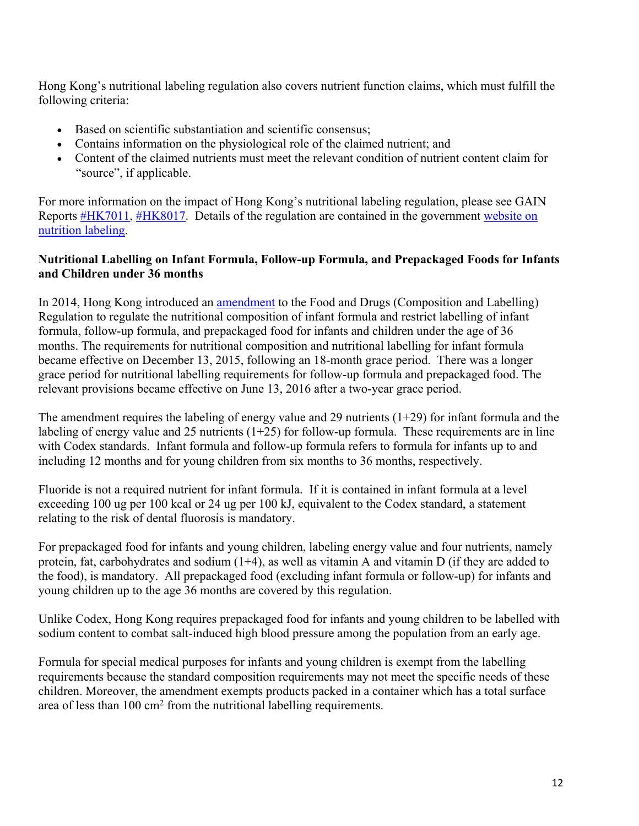Hong Kong's nutritional labeling regulation also covers nutrient function claims, which must fulfill the following criteria:

- Based on scientific substantiation and scientific consensus;
- Contains information on the physiological role of the claimed nutrient; and
- Content of the claimed nutrients must meet the relevant condition of nutrient content claim for "source", if applicable.

For more information on the impact of Hong Kong's nutritional labeling regulation, please see GAIN Reports [#HK7011](http://www.fas.usda.gov/gainfiles/200706/146291512.pdf), [#HK8017.](http://www.fas.usda.gov/gainfiles/200808/146295421.pdf) Details of the regulation are contained in the government website on [nutrition labeling.](http://www.cfs.gov.hk/english/whatsnew/whatsnew_act/whatsnew_act_19_Nutrition_Labelling_Scheme.html)

### **Nutritional Labelling on Infant Formula, Follow-up Formula, and Prepackaged Foods for Infants and Children under 36 months**

In 2014, Hong Kong introduced an [amendment](http://www.gld.gov.hk/egazette/pdf/20141824/es22014182490.pdf) to the Food and Drugs (Composition and Labelling) Regulation to regulate the nutritional composition of infant formula and restrict labelling of infant formula, follow-up formula, and prepackaged food for infants and children under the age of 36 months. The requirements for nutritional composition and nutritional labelling for infant formula became effective on December 13, 2015, following an 18-month grace period. There was a longer grace period for nutritional labelling requirements for follow-up formula and prepackaged food. The relevant provisions became effective on June 13, 2016 after a two-year grace period.

The amendment requires the labeling of energy value and 29 nutrients  $(1+29)$  for infant formula and the labeling of energy value and 25 nutrients  $(1+25)$  for follow-up formula. These requirements are in line with Codex standards. Infant formula and follow-up formula refers to formula for infants up to and including 12 months and for young children from six months to 36 months, respectively.

Fluoride is not a required nutrient for infant formula. If it is contained in infant formula at a level exceeding 100 ug per 100 kcal or 24 ug per 100 kJ, equivalent to the Codex standard, a statement relating to the risk of dental fluorosis is mandatory.

For prepackaged food for infants and young children, labeling energy value and four nutrients, namely protein, fat, carbohydrates and sodium (1+4), as well as vitamin A and vitamin D (if they are added to the food), is mandatory. All prepackaged food (excluding infant formula or follow-up) for infants and young children up to the age 36 months are covered by this regulation.

Unlike Codex, Hong Kong requires prepackaged food for infants and young children to be labelled with sodium content to combat salt-induced high blood pressure among the population from an early age.

Formula for special medical purposes for infants and young children is exempt from the labelling requirements because the standard composition requirements may not meet the specific needs of these children. Moreover, the amendment exempts products packed in a container which has a total surface area of less than  $100 \text{ cm}^2$  from the nutritional labelling requirements.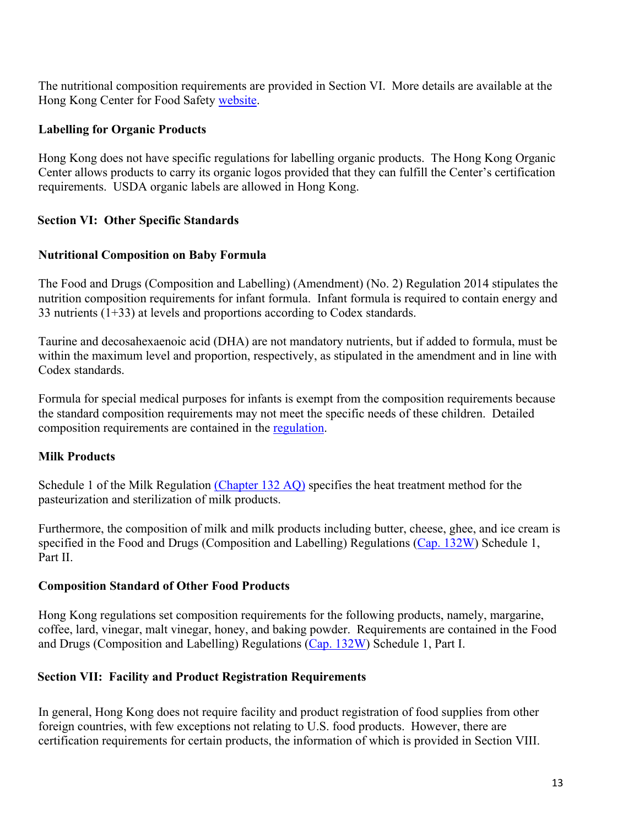The nutritional composition requirements are provided in Section VI. More details are available at the Hong Kong Center for Food Safety [website](http://www.cfs.gov.hk/english/food_leg/food_leg_Formula_Products_for_Infants.html).

### **Labelling for Organic Products**

Hong Kong does not have specific regulations for labelling organic products. The Hong Kong Organic Center allows products to carry its organic logos provided that they can fulfill the Center's certification requirements. USDA organic labels are allowed in Hong Kong.

### <span id="page-12-0"></span>**Section VI: Other Specific Standards**

#### **Nutritional Composition on Baby Formula**

The Food and Drugs (Composition and Labelling) (Amendment) (No. 2) Regulation 2014 stipulates the nutrition composition requirements for infant formula. Infant formula is required to contain energy and 33 nutrients (1+33) at levels and proportions according to Codex standards.

Taurine and decosahexaenoic acid (DHA) are not mandatory nutrients, but if added to formula, must be within the maximum level and proportion, respectively, as stipulated in the amendment and in line with Codex standards.

Formula for special medical purposes for infants is exempt from the composition requirements because the standard composition requirements may not meet the specific needs of these children. Detailed composition requirements are contained in the [regulation.](http://www.gld.gov.hk/egazette/pdf/20141824/es22014182490.pdf)

#### **Milk Products**

Schedule 1 of the Milk Regulation [\(Chapter 132 AQ\)](https://www.elegislation.gov.hk/hk/cap132AQ) specifies the heat treatment method for the pasteurization and sterilization of milk products.

Furthermore, the composition of milk and milk products including butter, cheese, ghee, and ice cream is specified in the Food and Drugs (Composition and Labelling) Regulations [\(Cap. 132W\)](https://www.elegislation.gov.hk/hk/cap132W) Schedule 1, Part II.

#### **Composition Standard of Other Food Products**

Hong Kong regulations set composition requirements for the following products, namely, margarine, coffee, lard, vinegar, malt vinegar, honey, and baking powder. Requirements are contained in the Food and Drugs (Composition and Labelling) Regulations [\(Cap. 132W\)](https://www.elegislation.gov.hk/hk/cap132W) Schedule 1, Part I.

#### <span id="page-12-1"></span>**Section VII: Facility and Product Registration Requirements**

In general, Hong Kong does not require facility and product registration of food supplies from other foreign countries, with few exceptions not relating to U.S. food products. However, there are certification requirements for certain products, the information of which is provided in Section VIII.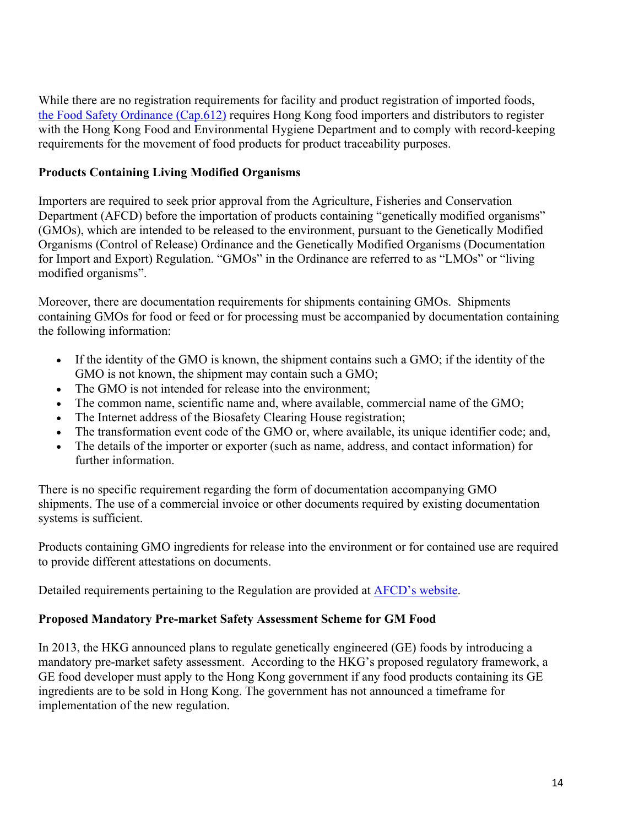While there are no registration requirements for facility and product registration of imported foods, [the Food Safety Ordinance \(Cap.612\)](https://www.elegislation.gov.hk/index/chapternumber?p0=1&TYPE=1&TYPE=2&TYPE=3&LANGUAGE=E&CAP_NO_FR=612) requires Hong Kong food importers and distributors to register with the Hong Kong Food and Environmental Hygiene Department and to comply with record-keeping requirements for the movement of food products for product traceability purposes.

# **Products Containing Living Modified Organisms**

Importers are required to seek prior approval from the Agriculture, Fisheries and Conservation Department (AFCD) before the importation of products containing "genetically modified organisms" (GMOs), which are intended to be released to the environment, pursuant to the Genetically Modified Organisms (Control of Release) Ordinance and the Genetically Modified Organisms (Documentation for Import and Export) Regulation. "GMOs" in the Ordinance are referred to as "LMOs" or "living modified organisms".

Moreover, there are documentation requirements for shipments containing GMOs. Shipments containing GMOs for food or feed or for processing must be accompanied by documentation containing the following information:

- If the identity of the GMO is known, the shipment contains such a GMO; if the identity of the GMO is not known, the shipment may contain such a GMO;
- The GMO is not intended for release into the environment;
- The common name, scientific name and, where available, commercial name of the GMO;
- The Internet address of the Biosafety Clearing House registration;
- The transformation event code of the GMO or, where available, its unique identifier code; and,
- The details of the importer or exporter (such as name, address, and contact information) for further information.

There is no specific requirement regarding the form of documentation accompanying GMO shipments. The use of a commercial invoice or other documents required by existing documentation systems is sufficient.

Products containing GMO ingredients for release into the environment or for contained use are required to provide different attestations on documents.

Detailed requirements pertaining to the Regulation are provided at **AFCD**'s website.

### **Proposed Mandatory Pre-market Safety Assessment Scheme for GM Food**

In 2013, the HKG announced plans to regulate genetically engineered (GE) foods by introducing a mandatory pre-market safety assessment. According to the HKG's proposed regulatory framework, a GE food developer must apply to the Hong Kong government if any food products containing its GE ingredients are to be sold in Hong Kong. The government has not announced a timeframe for implementation of the new regulation.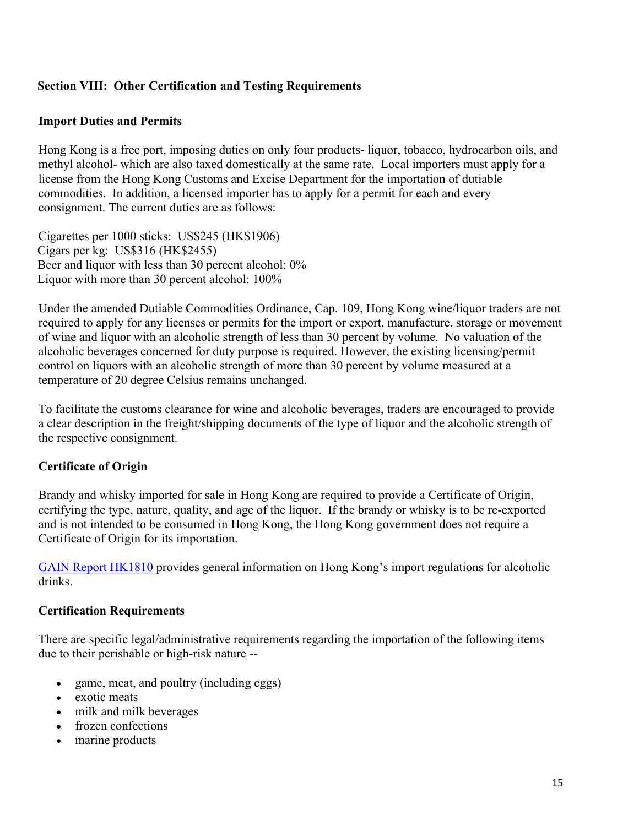# <span id="page-14-0"></span>**Section VIII: Other Certification and Testing Requirements**

### **Import Duties and Permits**

Hong Kong is a free port, imposing duties on only four products- liquor, tobacco, hydrocarbon oils, and methyl alcohol- which are also taxed domestically at the same rate. Local importers must apply for a license from the Hong Kong Customs and Excise Department for the importation of dutiable commodities. In addition, a licensed importer has to apply for a permit for each and every consignment. The current duties are as follows:

Cigarettes per 1000 sticks: US\$245 (HK\$1906) Cigars per kg: US\$316 (HK\$2455) Beer and liquor with less than 30 percent alcohol: 0% Liquor with more than 30 percent alcohol: 100%

Under the amended Dutiable Commodities Ordinance, Cap. 109, Hong Kong wine/liquor traders are not required to apply for any licenses or permits for the import or export, manufacture, storage or movement of wine and liquor with an alcoholic strength of less than 30 percent by volume. No valuation of the alcoholic beverages concerned for duty purpose is required. However, the existing licensing/permit control on liquors with an alcoholic strength of more than 30 percent by volume measured at a temperature of 20 degree Celsius remains unchanged.

To facilitate the customs clearance for wine and alcoholic beverages, traders are encouraged to provide a clear description in the freight/shipping documents of the type of liquor and the alcoholic strength of the respective consignment.

### **Certificate of Origin**

Brandy and whisky imported for sale in Hong Kong are required to provide a Certificate of Origin, certifying the type, nature, quality, and age of the liquor. If the brandy or whisky is to be re-exported and is not intended to be consumed in Hong Kong, the Hong Kong government does not require a Certificate of Origin for its importation.

[GAIN Report HK1810](https://gain.fas.usda.gov/Recent%20GAIN%20Publications/Import%20Regulations%20on%20Alcoholic%20Drinks%20to%20Hong%20Kong%20and%20Macau_Hong%20Kong_Hong%20Kong_4-10-2018.pdf) provides general information on Hong Kong's import regulations for alcoholic drinks.

### **Certification Requirements**

There are specific legal/administrative requirements regarding the importation of the following items due to their perishable or high-risk nature --

- game, meat, and poultry (including eggs)
- exotic meats
- milk and milk beverages
- frozen confections
- marine products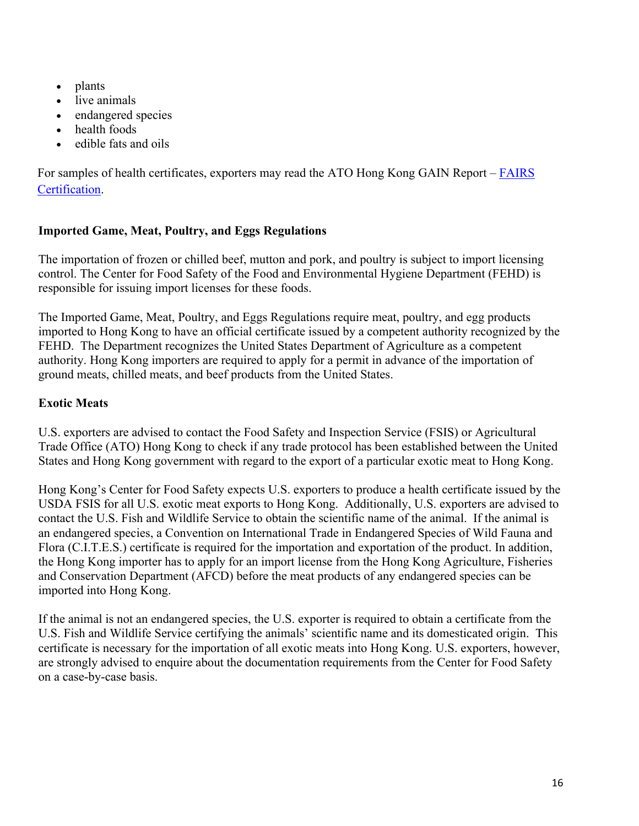- plants
- live animals
- endangered species
- health foods
- edible fats and oils

For samples of health certificates, exporters may read the ATO Hong Kong GAIN Report – [FAIRS](https://gain.fas.usda.gov/#/search)  [Certification.](https://gain.fas.usda.gov/#/search)

# **Imported Game, Meat, Poultry, and Eggs Regulations**

The importation of frozen or chilled beef, mutton and pork, and poultry is subject to import licensing control. The Center for Food Safety of the Food and Environmental Hygiene Department (FEHD) is responsible for issuing import licenses for these foods.

The Imported Game, Meat, Poultry, and Eggs Regulations require meat, poultry, and egg products imported to Hong Kong to have an official certificate issued by a competent authority recognized by the FEHD. The Department recognizes the United States Department of Agriculture as a competent authority. Hong Kong importers are required to apply for a permit in advance of the importation of ground meats, chilled meats, and beef products from the United States.

# **Exotic Meats**

U.S. exporters are advised to contact the Food Safety and Inspection Service (FSIS) or Agricultural Trade Office (ATO) Hong Kong to check if any trade protocol has been established between the United States and Hong Kong government with regard to the export of a particular exotic meat to Hong Kong.

Hong Kong's Center for Food Safety expects U.S. exporters to produce a health certificate issued by the USDA FSIS for all U.S. exotic meat exports to Hong Kong. Additionally, U.S. exporters are advised to contact the U.S. Fish and Wildlife Service to obtain the scientific name of the animal. If the animal is an endangered species, a Convention on International Trade in Endangered Species of Wild Fauna and Flora (C.I.T.E.S.) certificate is required for the importation and exportation of the product. In addition, the Hong Kong importer has to apply for an import license from the Hong Kong Agriculture, Fisheries and Conservation Department (AFCD) before the meat products of any endangered species can be imported into Hong Kong.

If the animal is not an endangered species, the U.S. exporter is required to obtain a certificate from the U.S. Fish and Wildlife Service certifying the animals' scientific name and its domesticated origin. This certificate is necessary for the importation of all exotic meats into Hong Kong. U.S. exporters, however, are strongly advised to enquire about the documentation requirements from the Center for Food Safety on a case-by-case basis.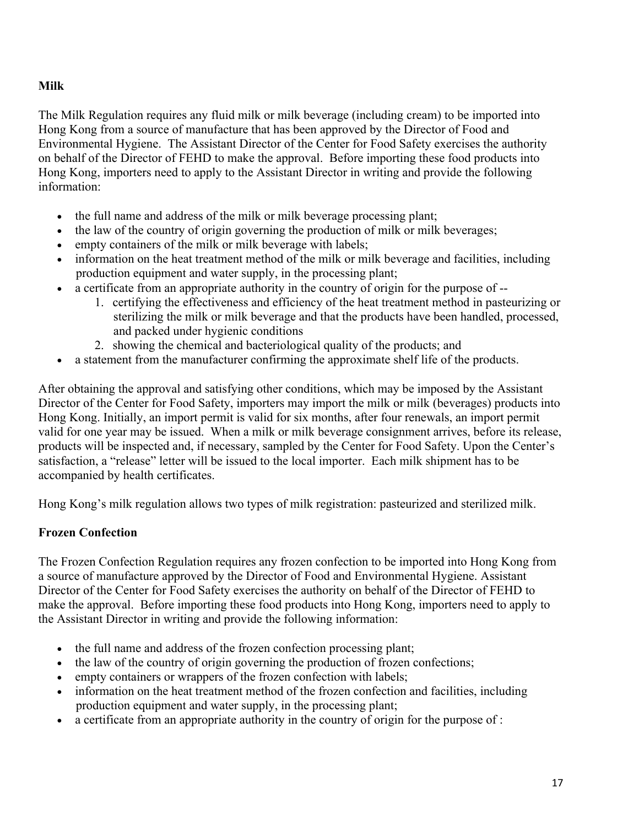# **Milk**

The Milk Regulation requires any fluid milk or milk beverage (including cream) to be imported into Hong Kong from a source of manufacture that has been approved by the Director of Food and Environmental Hygiene. The Assistant Director of the Center for Food Safety exercises the authority on behalf of the Director of FEHD to make the approval. Before importing these food products into Hong Kong, importers need to apply to the Assistant Director in writing and provide the following information:

- the full name and address of the milk or milk beverage processing plant;
- the law of the country of origin governing the production of milk or milk beverages;
- empty containers of the milk or milk beverage with labels;
- information on the heat treatment method of the milk or milk beverage and facilities, including production equipment and water supply, in the processing plant;
- a certificate from an appropriate authority in the country of origin for the purpose of --
	- 1. certifying the effectiveness and efficiency of the heat treatment method in pasteurizing or sterilizing the milk or milk beverage and that the products have been handled, processed, and packed under hygienic conditions
	- 2. showing the chemical and bacteriological quality of the products; and
- a statement from the manufacturer confirming the approximate shelf life of the products.

After obtaining the approval and satisfying other conditions, which may be imposed by the Assistant Director of the Center for Food Safety, importers may import the milk or milk (beverages) products into Hong Kong. Initially, an import permit is valid for six months, after four renewals, an import permit valid for one year may be issued. When a milk or milk beverage consignment arrives, before its release, products will be inspected and, if necessary, sampled by the Center for Food Safety. Upon the Center's satisfaction, a "release" letter will be issued to the local importer. Each milk shipment has to be accompanied by health certificates.

Hong Kong's milk regulation allows two types of milk registration: pasteurized and sterilized milk.

# **Frozen Confection**

The Frozen Confection Regulation requires any frozen confection to be imported into Hong Kong from a source of manufacture approved by the Director of Food and Environmental Hygiene. Assistant Director of the Center for Food Safety exercises the authority on behalf of the Director of FEHD to make the approval. Before importing these food products into Hong Kong, importers need to apply to the Assistant Director in writing and provide the following information:

- the full name and address of the frozen confection processing plant;
- the law of the country of origin governing the production of frozen confections;
- empty containers or wrappers of the frozen confection with labels;
- information on the heat treatment method of the frozen confection and facilities, including production equipment and water supply, in the processing plant;
- a certificate from an appropriate authority in the country of origin for the purpose of :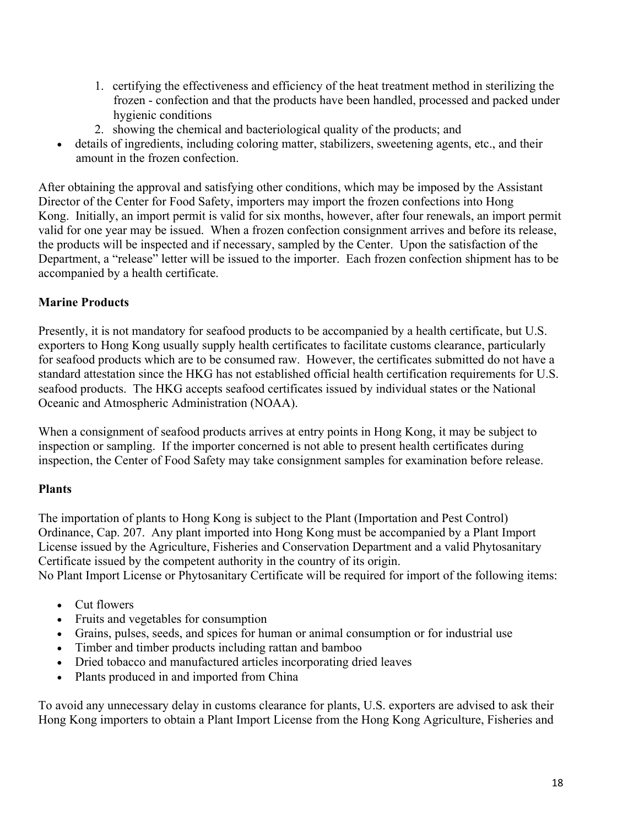- 1. certifying the effectiveness and efficiency of the heat treatment method in sterilizing the frozen - confection and that the products have been handled, processed and packed under hygienic conditions
- 2. showing the chemical and bacteriological quality of the products; and
- details of ingredients, including coloring matter, stabilizers, sweetening agents, etc., and their amount in the frozen confection.

After obtaining the approval and satisfying other conditions, which may be imposed by the Assistant Director of the Center for Food Safety, importers may import the frozen confections into Hong Kong. Initially, an import permit is valid for six months, however, after four renewals, an import permit valid for one year may be issued. When a frozen confection consignment arrives and before its release, the products will be inspected and if necessary, sampled by the Center. Upon the satisfaction of the Department, a "release" letter will be issued to the importer. Each frozen confection shipment has to be accompanied by a health certificate.

# **Marine Products**

Presently, it is not mandatory for seafood products to be accompanied by a health certificate, but U.S. exporters to Hong Kong usually supply health certificates to facilitate customs clearance, particularly for seafood products which are to be consumed raw. However, the certificates submitted do not have a standard attestation since the HKG has not established official health certification requirements for U.S. seafood products. The HKG accepts seafood certificates issued by individual states or the National Oceanic and Atmospheric Administration (NOAA).

When a consignment of seafood products arrives at entry points in Hong Kong, it may be subject to inspection or sampling. If the importer concerned is not able to present health certificates during inspection, the Center of Food Safety may take consignment samples for examination before release.

# **Plants**

The importation of plants to Hong Kong is subject to the Plant (Importation and Pest Control) Ordinance, Cap. 207. Any plant imported into Hong Kong must be accompanied by a Plant Import License issued by the Agriculture, Fisheries and Conservation Department and a valid Phytosanitary Certificate issued by the competent authority in the country of its origin.

No Plant Import License or Phytosanitary Certificate will be required for import of the following items:

- Cut flowers
- Fruits and vegetables for consumption
- Grains, pulses, seeds, and spices for human or animal consumption or for industrial use
- Timber and timber products including rattan and bamboo
- Dried tobacco and manufactured articles incorporating dried leaves
- Plants produced in and imported from China

To avoid any unnecessary delay in customs clearance for plants, U.S. exporters are advised to ask their Hong Kong importers to obtain a Plant Import License from the Hong Kong Agriculture, Fisheries and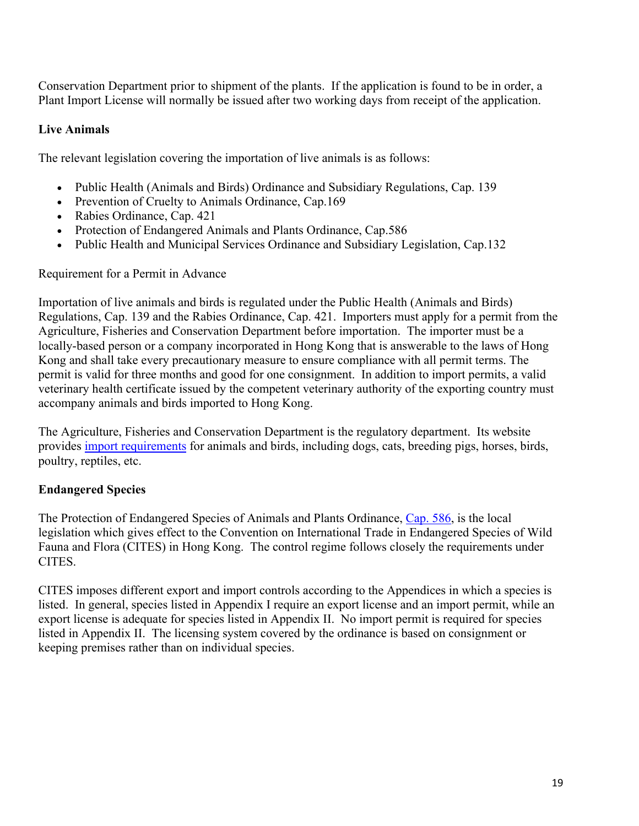Conservation Department prior to shipment of the plants. If the application is found to be in order, a Plant Import License will normally be issued after two working days from receipt of the application.

# **Live Animals**

The relevant legislation covering the importation of live animals is as follows:

- Public Health (Animals and Birds) Ordinance and Subsidiary Regulations, Cap. 139
- Prevention of Cruelty to Animals Ordinance, Cap.169
- Rabies Ordinance, Cap. 421
- Protection of Endangered Animals and Plants Ordinance, Cap.586
- Public Health and Municipal Services Ordinance and Subsidiary Legislation, Cap.132

Requirement for a Permit in Advance

Importation of live animals and birds is regulated under the Public Health (Animals and Birds) Regulations, Cap. 139 and the Rabies Ordinance, Cap. 421. Importers must apply for a permit from the Agriculture, Fisheries and Conservation Department before importation. The importer must be a locally-based person or a company incorporated in Hong Kong that is answerable to the laws of Hong Kong and shall take every precautionary measure to ensure compliance with all permit terms. The permit is valid for three months and good for one consignment. In addition to import permits, a valid veterinary health certificate issued by the competent veterinary authority of the exporting country must accompany animals and birds imported to Hong Kong.

The Agriculture, Fisheries and Conservation Department is the regulatory department. Its website provides [import requirements](http://www.afcd.gov.hk/english/quarantine/qua_ie/qua_ie.html) for animals and birds, including dogs, cats, breeding pigs, horses, birds, poultry, reptiles, etc.

### **Endangered Species**

The Protection of Endangered Species of Animals and Plants Ordinance, [Cap. 586](https://www.elegislation.gov.hk/hk/cap586), is the local legislation which gives effect to the Convention on International Trade in Endangered Species of Wild Fauna and Flora (CITES) in Hong Kong. The control regime follows closely the requirements under CITES.

CITES imposes different export and import controls according to the Appendices in which a species is listed. In general, species listed in Appendix I require an export license and an import permit, while an export license is adequate for species listed in Appendix II. No import permit is required for species listed in Appendix II. The licensing system covered by the ordinance is based on consignment or keeping premises rather than on individual species.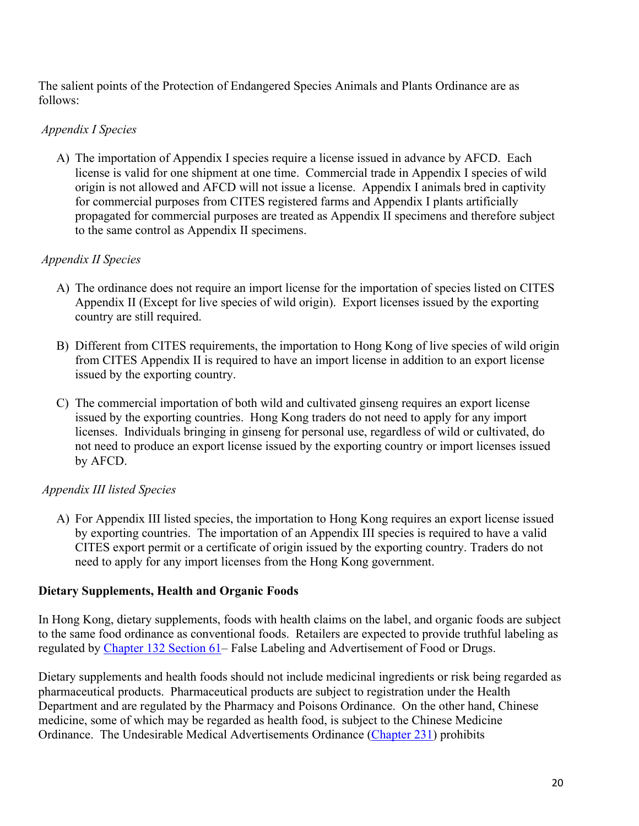The salient points of the Protection of Endangered Species Animals and Plants Ordinance are as follows:

# *Appendix I Species*

A) The importation of Appendix I species require a license issued in advance by AFCD. Each license is valid for one shipment at one time. Commercial trade in Appendix I species of wild origin is not allowed and AFCD will not issue a license. Appendix I animals bred in captivity for commercial purposes from CITES registered farms and Appendix I plants artificially propagated for commercial purposes are treated as Appendix II specimens and therefore subject to the same control as Appendix II specimens.

# *Appendix II Species*

- A) The ordinance does not require an import license for the importation of species listed on CITES Appendix II (Except for live species of wild origin). Export licenses issued by the exporting country are still required.
- B) Different from CITES requirements, the importation to Hong Kong of live species of wild origin from CITES Appendix II is required to have an import license in addition to an export license issued by the exporting country.
- C) The commercial importation of both wild and cultivated ginseng requires an export license issued by the exporting countries. Hong Kong traders do not need to apply for any import licenses. Individuals bringing in ginseng for personal use, regardless of wild or cultivated, do not need to produce an export license issued by the exporting country or import licenses issued by AFCD.

# *Appendix III listed Species*

A) For Appendix III listed species, the importation to Hong Kong requires an export license issued by exporting countries. The importation of an Appendix III species is required to have a valid CITES export permit or a certificate of origin issued by the exporting country. Traders do not need to apply for any import licenses from the Hong Kong government.

### **Dietary Supplements, Health and Organic Foods**

In Hong Kong, dietary supplements, foods with health claims on the label, and organic foods are subject to the same food ordinance as conventional foods. Retailers are expected to provide truthful labeling as regulated by [Chapter 132 Section 61](https://www.elegislation.gov.hk/hk/cap132?xpid=ID_1438402661216_001)– False Labeling and Advertisement of Food or Drugs.

Dietary supplements and health foods should not include medicinal ingredients or risk being regarded as pharmaceutical products. Pharmaceutical products are subject to registration under the Health Department and are regulated by the Pharmacy and Poisons Ordinance. On the other hand, Chinese medicine, some of which may be regarded as health food, is subject to the Chinese Medicine Ordinance. The Undesirable Medical Advertisements Ordinance ([Chapter 231\)](https://www.elegislation.gov.hk/index/chapternumber?p0=1&TYPE=1&TYPE=2&TYPE=3&LANGUAGE=E&CAP_NO_FR=231) prohibits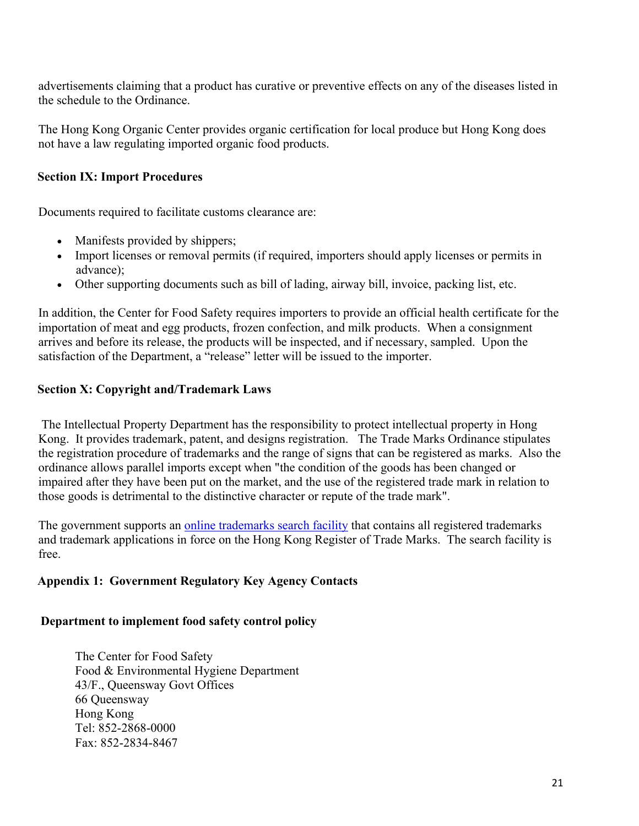advertisements claiming that a product has curative or preventive effects on any of the diseases listed in the schedule to the Ordinance.

The Hong Kong Organic Center provides organic certification for local produce but Hong Kong does not have a law regulating imported organic food products.

### <span id="page-20-0"></span>**Section IX: Import Procedures**

Documents required to facilitate customs clearance are:

- Manifests provided by shippers;
- Import licenses or removal permits (if required, importers should apply licenses or permits in advance);
- Other supporting documents such as bill of lading, airway bill, invoice, packing list, etc.

In addition, the Center for Food Safety requires importers to provide an official health certificate for the importation of meat and egg products, frozen confection, and milk products. When a consignment arrives and before its release, the products will be inspected, and if necessary, sampled. Upon the satisfaction of the Department, a "release" letter will be issued to the importer.

### <span id="page-20-1"></span>**Section X: Copyright and/Trademark Laws**

 The Intellectual Property Department has the responsibility to protect intellectual property in Hong Kong. It provides trademark, patent, and designs registration. The Trade Marks Ordinance stipulates the registration procedure of trademarks and the range of signs that can be registered as marks. Also the ordinance allows parallel imports except when "the condition of the goods has been changed or impaired after they have been put on the market, and the use of the registered trade mark in relation to those goods is detrimental to the distinctive character or repute of the trade mark".

The government supports an [online trademarks search facility](http://ipsearch.ipd.gov.hk/index.html) that contains all registered trademarks and trademark applications in force on the Hong Kong Register of Trade Marks. The search facility is free.

### <span id="page-20-2"></span>**Appendix 1: Government Regulatory Key Agency Contacts**

#### <span id="page-20-3"></span>**Department to implement food safety control policy**

The Center for Food Safety Food & Environmental Hygiene Department 43/F., Queensway Govt Offices 66 Queensway Hong Kong Tel: 852-2868-0000 Fax: 852-2834-8467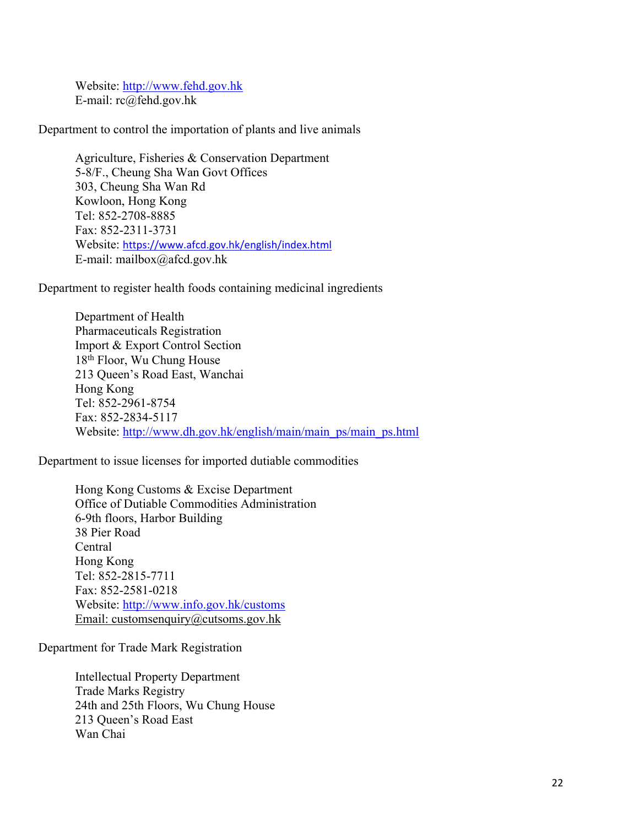Website: [http://www.fehd.gov.hk](http://www.fehd.gov.hk/) E-mail: rc@fehd.gov.hk

Department to control the importation of plants and live animals

Agriculture, Fisheries & Conservation Department 5-8/F., Cheung Sha Wan Govt Offices 303, Cheung Sha Wan Rd Kowloon, Hong Kong Tel: 852-2708-8885 Fax: 852-2311-3731 Website: <https://www.afcd.gov.hk/english/index.html> E-mail: mailbox@afcd.gov.hk

Department to register health foods containing medicinal ingredients

Department of Health Pharmaceuticals Registration Import & Export Control Section 18th Floor, Wu Chung House 213 Queen's Road East, Wanchai Hong Kong Tel: 852-2961-8754 Fax: 852-2834-5117 Website: [http://www.dh.gov.hk/english/main/main\\_ps/main\\_ps.html](http://www.dh.gov.hk/english/main/main_ps/main_ps.html)

Department to issue licenses for imported dutiable commodities

Hong Kong Customs & Excise Department Office of Dutiable Commodities Administration 6-9th floors, Harbor Building 38 Pier Road Central Hong Kong Tel: 852-2815-7711 Fax: 852-2581-0218 Website: <http://www.info.gov.hk/customs> Email: customsenquiry@cutsoms.gov.hk

Department for Trade Mark Registration

Intellectual Property Department Trade Marks Registry 24th and 25th Floors, Wu Chung House 213 Queen's Road East Wan Chai